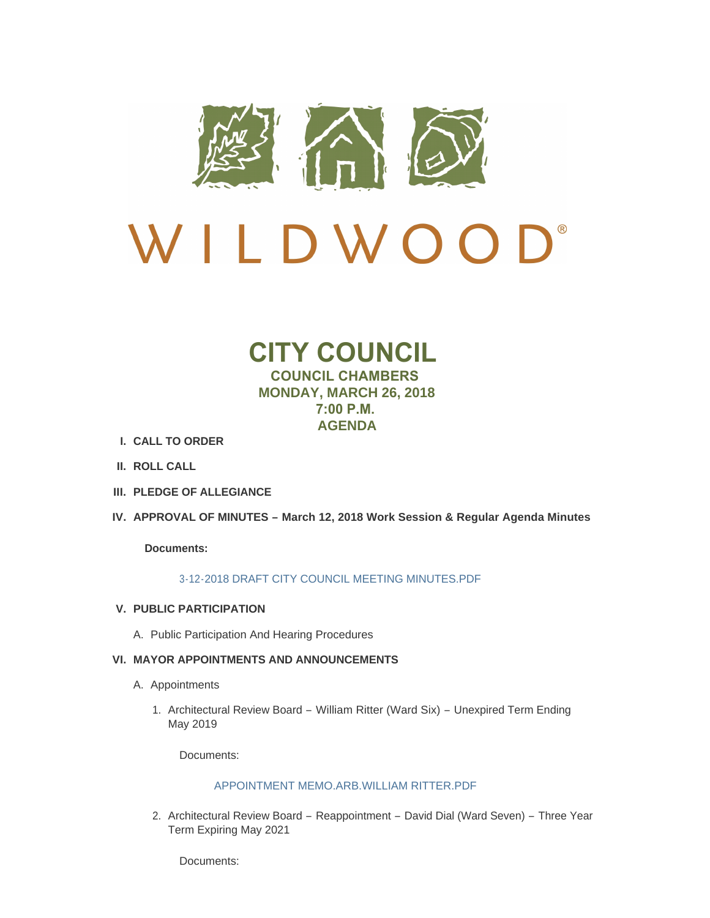

# D<sup>®</sup> W I LDWOO

## **CITY COUNCIL COUNCIL CHAMBERS MONDAY, MARCH 26, 2018 7:00 P.M. AGENDA**

- **CALL TO ORDER I.**
- **ROLL CALL II.**
- **PLEDGE OF ALLEGIANCE III.**
- **APPROVAL OF MINUTES – March 12, 2018 Work Session & Regular Agenda Minutes IV.**

## **Documents:**

## [3-12-2018 DRAFT CITY COUNCIL MEETING MINUTES.PDF](http://www.cityofwildwood.com/AgendaCenter/ViewFile/Item/14678?fileID=20217)

## **PUBLIC PARTICIPATION V.**

A. Public Participation And Hearing Procedures

## **MAYOR APPOINTMENTS AND ANNOUNCEMENTS VI.**

- A. Appointments
	- 1. Architectural Review Board William Ritter (Ward Six) Unexpired Term Ending May 2019

Documents:

## [APPOINTMENT MEMO.ARB.WILLIAM RITTER.PDF](http://www.cityofwildwood.com/AgendaCenter/ViewFile/Item/14753?fileID=20275)

2. Architectural Review Board - Reappointment - David Dial (Ward Seven) - Three Year Term Expiring May 2021

Documents: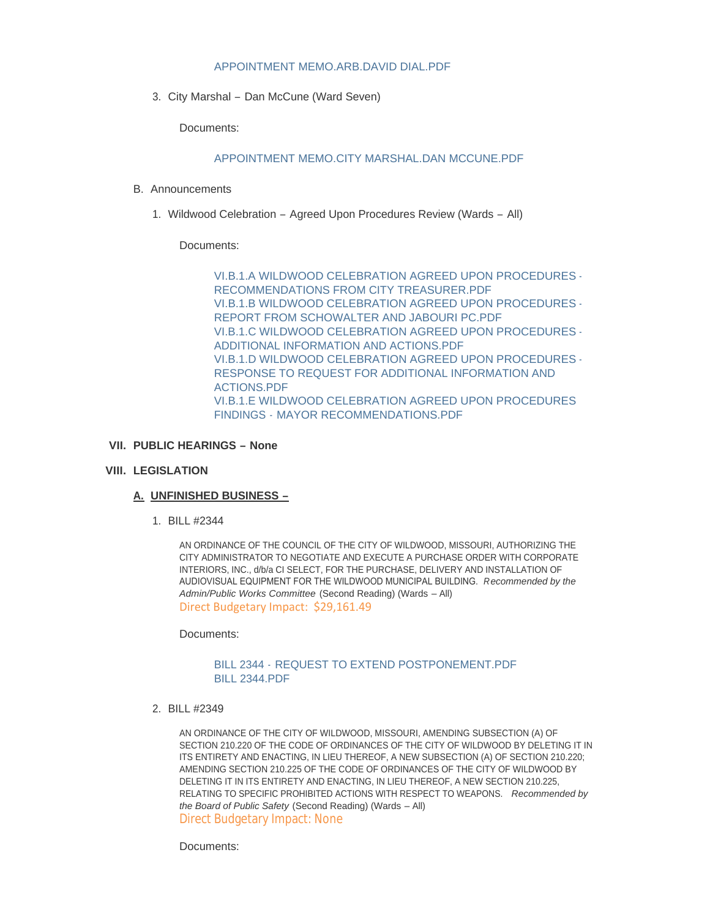## [APPOINTMENT MEMO.ARB.DAVID DIAL.PDF](http://www.cityofwildwood.com/AgendaCenter/ViewFile/Item/14754?fileID=20276)

3. City Marshal – Dan McCune (Ward Seven)

Documents:

#### [APPOINTMENT MEMO.CITY MARSHAL.DAN MCCUNE.PDF](http://www.cityofwildwood.com/AgendaCenter/ViewFile/Item/14755?fileID=20277)

- B. Announcements
	- 1. Wildwood Celebration Agreed Upon Procedures Review (Wards All)

#### Documents:

[VI.B.1.A WILDWOOD CELEBRATION AGREED UPON PROCEDURES -](http://www.cityofwildwood.com/AgendaCenter/ViewFile/Item/14757?fileID=20284) RECOMMENDATIONS FROM CITY TREASURER.PDF [VI.B.1.B WILDWOOD CELEBRATION AGREED UPON PROCEDURES -](http://www.cityofwildwood.com/AgendaCenter/ViewFile/Item/14757?fileID=20285) REPORT FROM SCHOWALTER AND JABOURI PC.PDF [VI.B.1.C WILDWOOD CELEBRATION AGREED UPON PROCEDURES -](http://www.cityofwildwood.com/AgendaCenter/ViewFile/Item/14757?fileID=20286) ADDITIONAL INFORMATION AND ACTIONS.PDF [VI.B.1.D WILDWOOD CELEBRATION AGREED UPON PROCEDURES -](http://www.cityofwildwood.com/AgendaCenter/ViewFile/Item/14757?fileID=20287) RESPONSE TO REQUEST FOR ADDITIONAL INFORMATION AND ACTIONS.PDF [VI.B.1.E WILDWOOD CELEBRATION AGREED UPON PROCEDURES](http://www.cityofwildwood.com/AgendaCenter/ViewFile/Item/14757?fileID=20288)  FINDINGS - MAYOR RECOMMENDATIONS.PDF

#### **PUBLIC HEARINGS – None VII.**

## **LEGISLATION VIII.**

## **UNFINISHED BUSINESS – A.**

BILL #2344 1.

AN ORDINANCE OF THE COUNCIL OF THE CITY OF WILDWOOD, MISSOURI, AUTHORIZING THE CITY ADMINISTRATOR TO NEGOTIATE AND EXECUTE A PURCHASE ORDER WITH CORPORATE INTERIORS, INC., d/b/a CI SELECT, FOR THE PURCHASE, DELIVERY AND INSTALLATION OF AUDIOVISUAL EQUIPMENT FOR THE WILDWOOD MUNICIPAL BUILDING. *Recommended by the Admin/Public Works Committee* (Second Reading) (Wards – All) Direct Budgetary Impact: \$29,161.49

Documents:

#### BILL 2344 - [REQUEST TO EXTEND POSTPONEMENT.PDF](http://www.cityofwildwood.com/AgendaCenter/ViewFile/Item/14691?fileID=20221) [BILL 2344.PDF](http://www.cityofwildwood.com/AgendaCenter/ViewFile/Item/14691?fileID=20222)

BILL #2349 2.

AN ORDINANCE OF THE CITY OF WILDWOOD, MISSOURI, AMENDING SUBSECTION (A) OF SECTION 210.220 OF THE CODE OF ORDINANCES OF THE CITY OF WILDWOOD BY DELETING IT IN ITS ENTIRETY AND ENACTING, IN LIEU THEREOF, A NEW SUBSECTION (A) OF SECTION 210.220; AMENDING SECTION 210.225 OF THE CODE OF ORDINANCES OF THE CITY OF WILDWOOD BY DELETING IT IN ITS ENTIRETY AND ENACTING, IN LIEU THEREOF, A NEW SECTION 210.225, RELATING TO SPECIFIC PROHIBITED ACTIONS WITH RESPECT TO WEAPONS. *Recommended by the Board of Public Safety* (Second Reading) (Wards – All) Direct Budgetary Impact: None

Documents: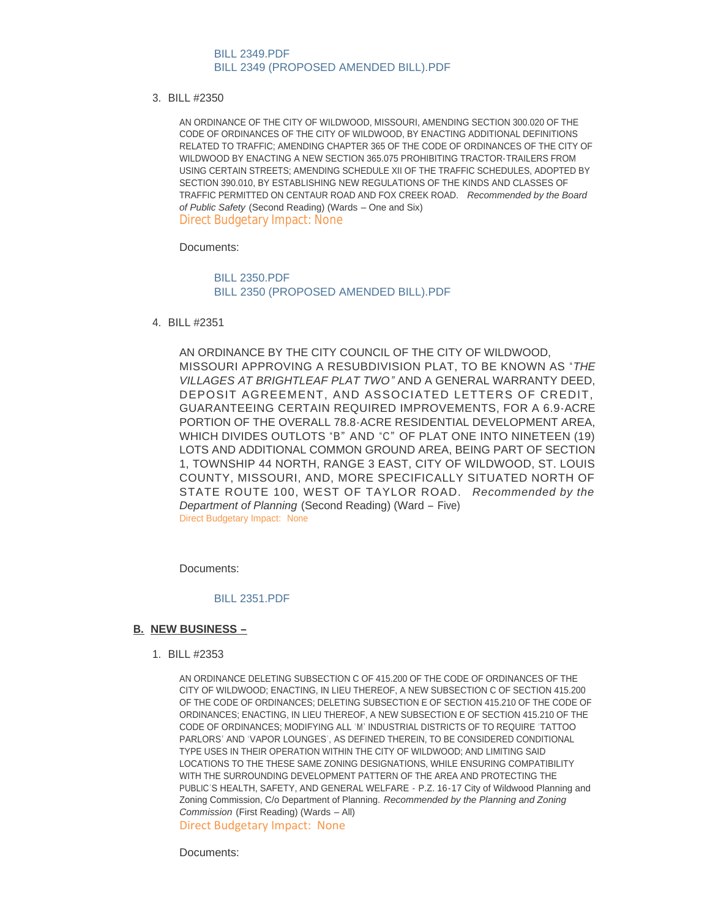#### [BILL 2349.PDF](http://www.cityofwildwood.com/AgendaCenter/ViewFile/Item/14692?fileID=20223) [BILL 2349 \(PROPOSED AMENDED BILL\).PDF](http://www.cityofwildwood.com/AgendaCenter/ViewFile/Item/14692?fileID=20243)

BILL #2350 3.

AN ORDINANCE OF THE CITY OF WILDWOOD, MISSOURI, AMENDING SECTION 300.020 OF THE CODE OF ORDINANCES OF THE CITY OF WILDWOOD, BY ENACTING ADDITIONAL DEFINITIONS RELATED TO TRAFFIC; AMENDING CHAPTER 365 OF THE CODE OF ORDINANCES OF THE CITY OF WILDWOOD BY ENACTING A NEW SECTION 365.075 PROHIBITING TRACTOR-TRAILERS FROM USING CERTAIN STREETS; AMENDING SCHEDULE XII OF THE TRAFFIC SCHEDULES, ADOPTED BY SECTION 390.010, BY ESTABLISHING NEW REGULATIONS OF THE KINDS AND CLASSES OF TRAFFIC PERMITTED ON CENTAUR ROAD AND FOX CREEK ROAD. *Recommended by the Board of Public Safety* (Second Reading) (Wards – One and Six) Direct Budgetary Impact: None

Documents:

[BILL 2350.PDF](http://www.cityofwildwood.com/AgendaCenter/ViewFile/Item/14693?fileID=20224) [BILL 2350 \(PROPOSED AMENDED BILL\).PDF](http://www.cityofwildwood.com/AgendaCenter/ViewFile/Item/14693?fileID=20244)

BILL #2351 4.

AN ORDINANCE BY THE CITY COUNCIL OF THE CITY OF WILDWOOD, MISSOURI APPROVING A RESUBDIVISION PLAT, TO BE KNOWN AS "*THE VILLAGES AT BRIGHTLEAF PLAT TWO"* AND A GENERAL WARRANTY DEED, DEPOSIT AGREEMENT, AND ASSOCIATED LETTERS OF CREDIT, GUARANTEEING CERTAIN REQUIRED IMPROVEMENTS, FOR A 6.9-ACRE PORTION OF THE OVERALL 78.8-ACRE RESIDENTIAL DEVELOPMENT AREA, WHICH DIVIDES OUTLOTS "B" AND "C" OF PLAT ONE INTO NINETEEN (19) LOTS AND ADDITIONAL COMMON GROUND AREA, BEING PART OF SECTION 1, TOWNSHIP 44 NORTH, RANGE 3 EAST, CITY OF WILDWOOD, ST. LOUIS COUNTY, MISSOURI, AND, MORE SPECIFICALLY SITUATED NORTH OF STATE ROUTE 100, WEST OF TAYLOR ROAD. *Recommended by the Department of Planning* (Second Reading) (Ward – Five) Direct Budgetary Impact: None

Documents:

#### [BILL 2351.PDF](http://www.cityofwildwood.com/AgendaCenter/ViewFile/Item/14732?fileID=20246)

#### **NEW BUSINESS – B.**

BILL #2353 1.

AN ORDINANCE DELETING SUBSECTION C OF 415.200 OF THE CODE OF ORDINANCES OF THE CITY OF WILDWOOD; ENACTING, IN LIEU THEREOF, A NEW SUBSECTION C OF SECTION 415.200 OF THE CODE OF ORDINANCES; DELETING SUBSECTION E OF SECTION 415.210 OF THE CODE OF ORDINANCES; ENACTING, IN LIEU THEREOF, A NEW SUBSECTION E OF SECTION 415.210 OF THE CODE OF ORDINANCES; MODIFYING ALL ' M' INDUSTRIAL DISTRICTS OF TO REQUIRE 'TATTOO PARLORS' AND 'VAPOR LOUNGES' , AS DEFINED THEREIN, TO BE CONSIDERED CONDITIONAL TYPE USES IN THEIR OPERATION WITHIN THE CITY OF WILDWOOD; AND LIMITING SAID LOCATIONS TO THE THESE SAME ZONING DESIGNATIONS, WHILE ENSURING COMPATIBILITY WITH THE SURROUNDING DEVELOPMENT PATTERN OF THE AREA AND PROTECTING THE PUBLIC'S HEALTH, SAFETY, AND GENERAL WELFARE - P.Z. 16-17 City of Wildwood Planning and Zoning Commission, C/o Department of Planning. *Recommended by the Planning and Zoning Commission* (First Reading) (Wards – All) Direct Budgetary Impact: None

Documents: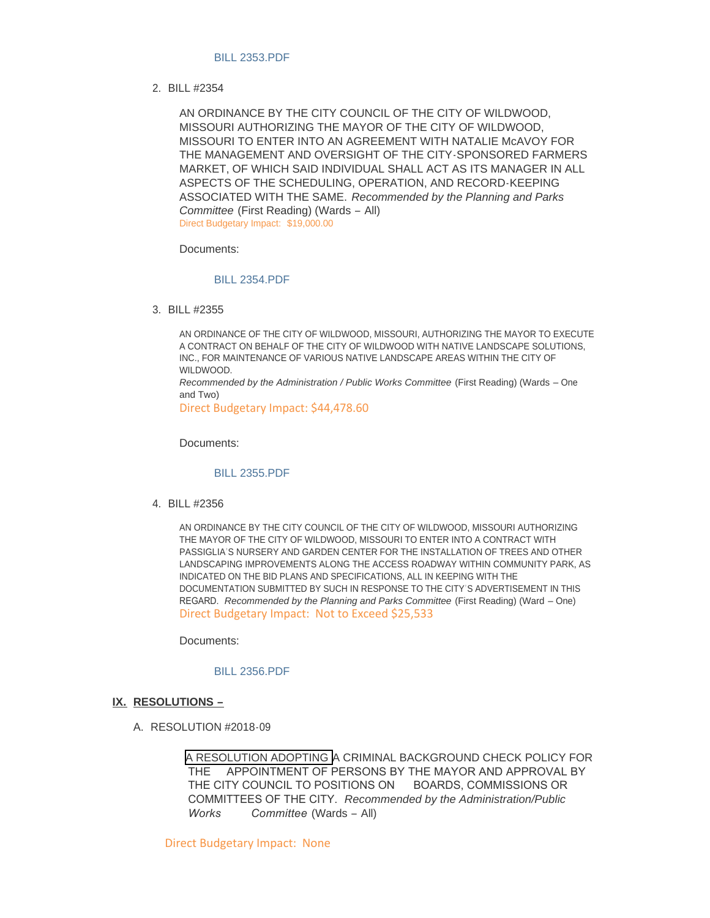#### [BILL 2353.PDF](http://www.cityofwildwood.com/AgendaCenter/ViewFile/Item/14696?fileID=20226)

BILL #2354 2.

AN ORDINANCE BY THE CITY COUNCIL OF THE CITY OF WILDWOOD, MISSOURI AUTHORIZING THE MAYOR OF THE CITY OF WILDWOOD, MISSOURI TO ENTER INTO AN AGREEMENT WITH NATALIE McAVOY FOR THE MANAGEMENT AND OVERSIGHT OF THE CITY-SPONSORED FARMERS MARKET, OF WHICH SAID INDIVIDUAL SHALL ACT AS ITS MANAGER IN ALL ASPECTS OF THE SCHEDULING, OPERATION, AND RECORD-KEEPING ASSOCIATED WITH THE SAME. *Recommended by the Planning and Parks Committee* (First Reading) (Wards – All) Direct Budgetary Impact: \$19,000.00

Documents:

#### [BILL 2354.PDF](http://www.cityofwildwood.com/AgendaCenter/ViewFile/Item/14731?fileID=20245)

BILL #2355 3.

AN ORDINANCE OF THE CITY OF WILDWOOD, MISSOURI, AUTHORIZING THE MAYOR TO EXECUTE A CONTRACT ON BEHALF OF THE CITY OF WILDWOOD WITH NATIVE LANDSCAPE SOLUTIONS, INC., FOR MAINTENANCE OF VARIOUS NATIVE LANDSCAPE AREAS WITHIN THE CITY OF WILDWOOD.

*Recommended by the Administration / Public Works Committee* (First Reading) (Wards – One and Two)

Direct Budgetary Impact: \$44,478.60

Documents:

#### [BILL 2355.PDF](http://www.cityofwildwood.com/AgendaCenter/ViewFile/Item/14698?fileID=20228)

BILL #2356 4.

AN ORDINANCE BY THE CITY COUNCIL OF THE CITY OF WILDWOOD, MISSOURI AUTHORIZING THE MAYOR OF THE CITY OF WILDWOOD, MISSOURI TO ENTER INTO A CONTRACT WITH PASSIGLIA'S NURSERY AND GARDEN CENTER FOR THE INSTALLATION OF TREES AND OTHER LANDSCAPING IMPROVEMENTS ALONG THE ACCESS ROADWAY WITHIN COMMUNITY PARK, AS INDICATED ON THE BID PLANS AND SPECIFICATIONS, ALL IN KEEPING WITH THE DOCUMENTATION SUBMITTED BY SUCH IN RESPONSE TO THE CITY'S ADVERTISEMENT IN THIS REGARD. *Recommended by the Planning and Parks Committee* (First Reading) (Ward – One) Direct Budgetary Impact: Not to Exceed \$25,533

Documents:

[BILL 2356.PDF](http://www.cityofwildwood.com/AgendaCenter/ViewFile/Item/14699?fileID=20229)

#### **RESOLUTIONS – IX.**

A. RESOLUTION #2018-09

A RESOLUTION ADOPTING A CRIMINAL BACKGROUND CHECK POLICY FOR THE APPOINTMENT OF PERSONS BY THE MAYOR AND APPROVAL BY THE CITY COUNCIL TO POSITIONS ON BOARDS, COMMISSIONS OR COMMITTEES OF THE CITY. *Recommended by the Administration/Public Works Committee* (Wards – All)

Direct Budgetary Impact: None